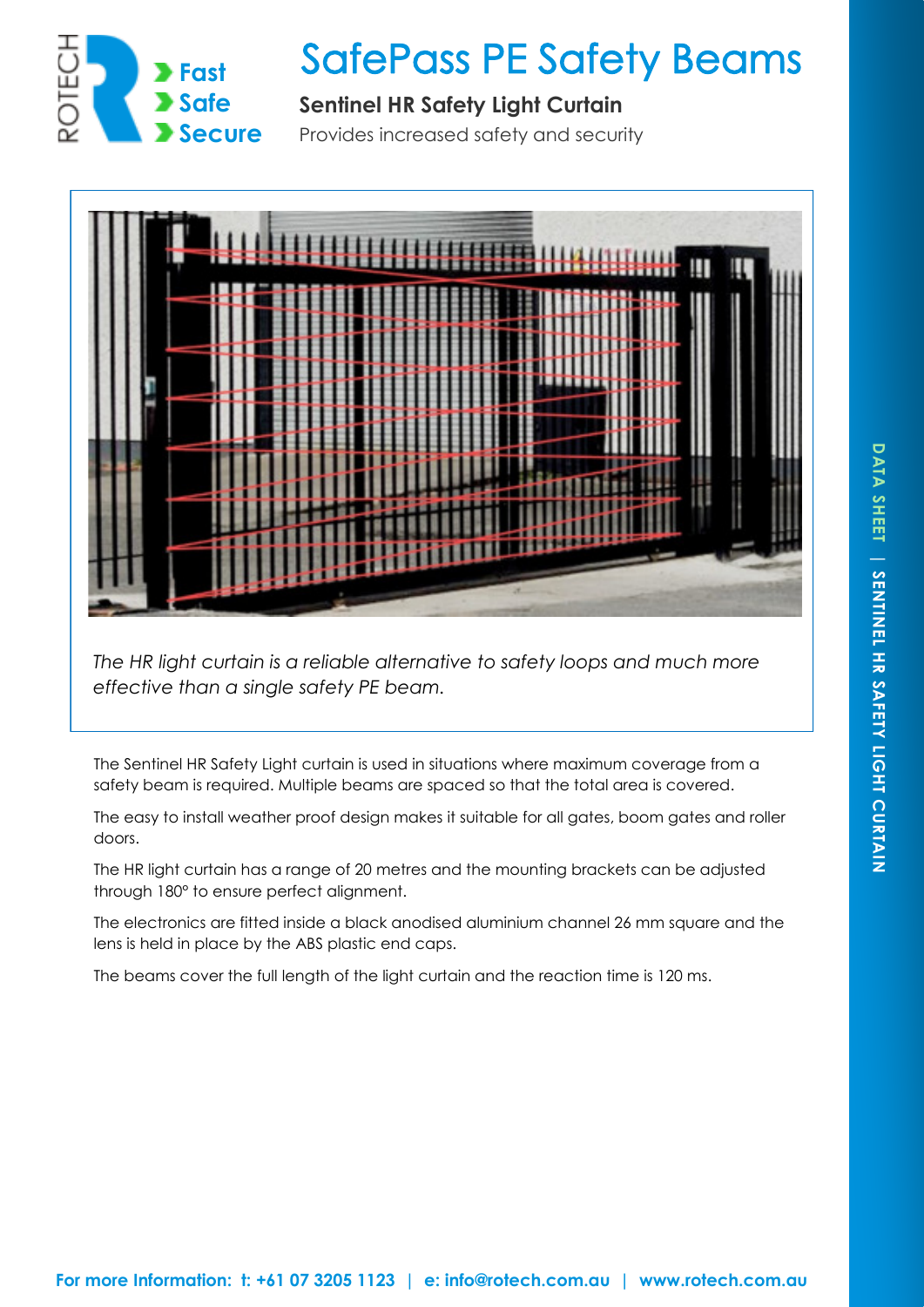

## **SafePass PE Safety Beams**

## **Sentinel HR Safety Light Curtain**

Provides increased safety and security



*The HR light curtain is a reliable alternative to safety loops and much more effective than a single safety PE beam.* 

The Sentinel HR Safety Light curtain is used in situations where maximum coverage from a safety beam is required. Multiple beams are spaced so that the total area is covered.

The easy to install weather proof design makes it suitable for all gates, boom gates and roller doors.

The HR light curtain has a range of 20 metres and the mounting brackets can be adjusted through 180° to ensure perfect alignment.

The electronics are fitted inside a black anodised aluminium channel 26 mm square and the lens is held in place by the ABS plastic end caps.

The beams cover the full length of the light curtain and the reaction time is 120 ms.